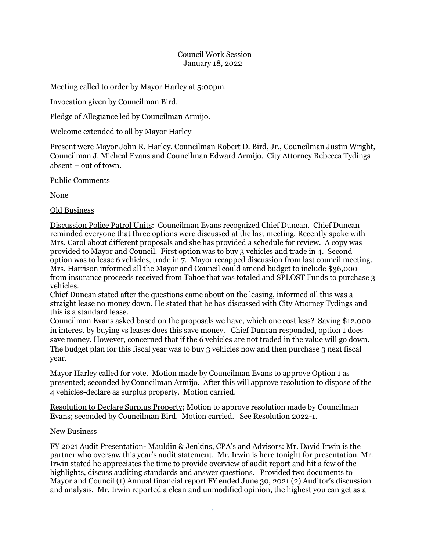## Council Work Session January 18, 2022

Meeting called to order by Mayor Harley at 5:00pm.

Invocation given by Councilman Bird.

Pledge of Allegiance led by Councilman Armijo.

Welcome extended to all by Mayor Harley

Present were Mayor John R. Harley, Councilman Robert D. Bird, Jr., Councilman Justin Wright, Councilman J. Micheal Evans and Councilman Edward Armijo. City Attorney Rebecca Tydings absent – out of town.

Public Comments

None

Old Business

Discussion Police Patrol Units: Councilman Evans recognized Chief Duncan. Chief Duncan reminded everyone that three options were discussed at the last meeting. Recently spoke with Mrs. Carol about different proposals and she has provided a schedule for review. A copy was provided to Mayor and Council. First option was to buy 3 vehicles and trade in 4. Second option was to lease 6 vehicles, trade in 7. Mayor recapped discussion from last council meeting. Mrs. Harrison informed all the Mayor and Council could amend budget to include \$36,000 from insurance proceeds received from Tahoe that was totaled and SPLOST Funds to purchase 3 vehicles.

Chief Duncan stated after the questions came about on the leasing, informed all this was a straight lease no money down. He stated that he has discussed with City Attorney Tydings and this is a standard lease.

Councilman Evans asked based on the proposals we have, which one cost less? Saving \$12,000 in interest by buying vs leases does this save money. Chief Duncan responded, option 1 does save money. However, concerned that if the 6 vehicles are not traded in the value will go down. The budget plan for this fiscal year was to buy 3 vehicles now and then purchase 3 next fiscal year.

Mayor Harley called for vote. Motion made by Councilman Evans to approve Option 1 as presented; seconded by Councilman Armijo. After this will approve resolution to dispose of the 4 vehicles-declare as surplus property. Motion carried.

Resolution to Declare Surplus Property; Motion to approve resolution made by Councilman Evans; seconded by Councilman Bird. Motion carried. See Resolution 2022-1.

## New Business

FY 2021 Audit Presentation- Mauldin & Jenkins, CPA's and Advisors: Mr. David Irwin is the partner who oversaw this year's audit statement. Mr. Irwin is here tonight for presentation. Mr. Irwin stated he appreciates the time to provide overview of audit report and hit a few of the highlights, discuss auditing standards and answer questions. Provided two documents to Mayor and Council (1) Annual financial report FY ended June 30, 2021 (2) Auditor's discussion and analysis. Mr. Irwin reported a clean and unmodified opinion, the highest you can get as a